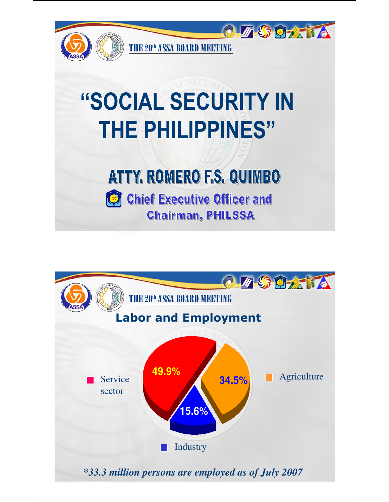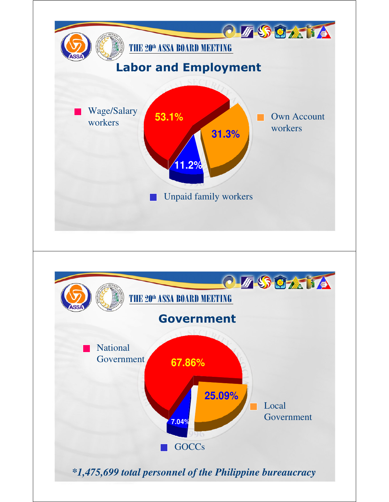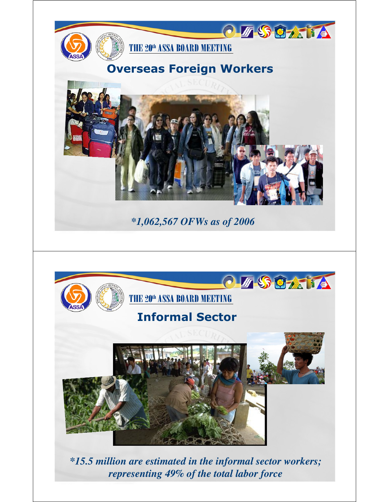

*\*15.5 million are estimated in the informal sector workers; representing 49% of the total labor force*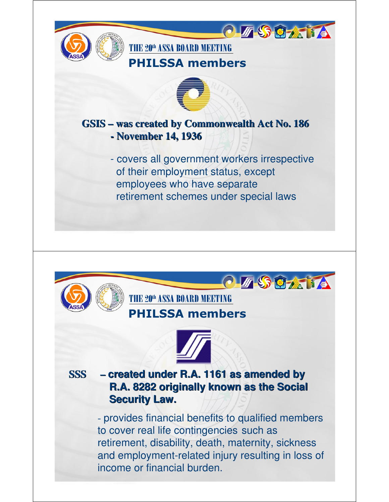

**Security Law.**

- provides financial benefits to qualified members to cover real life contingencies such as retirement, disability, death, maternity, sickness and employment-related injury resulting in loss of income or financial burden.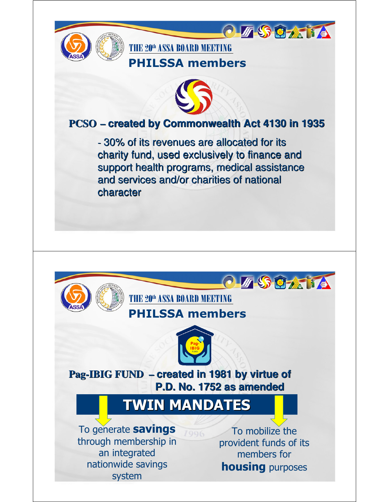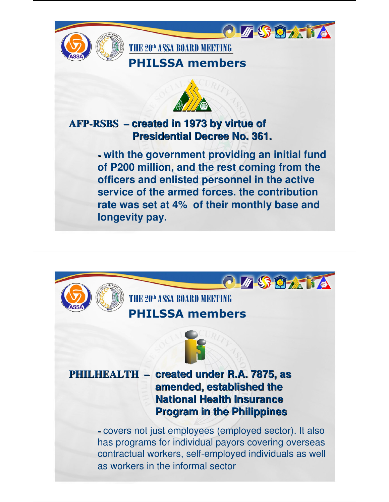

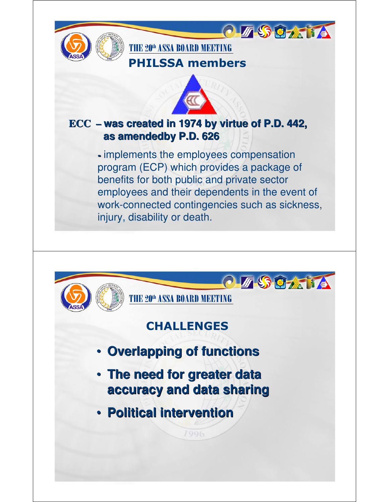